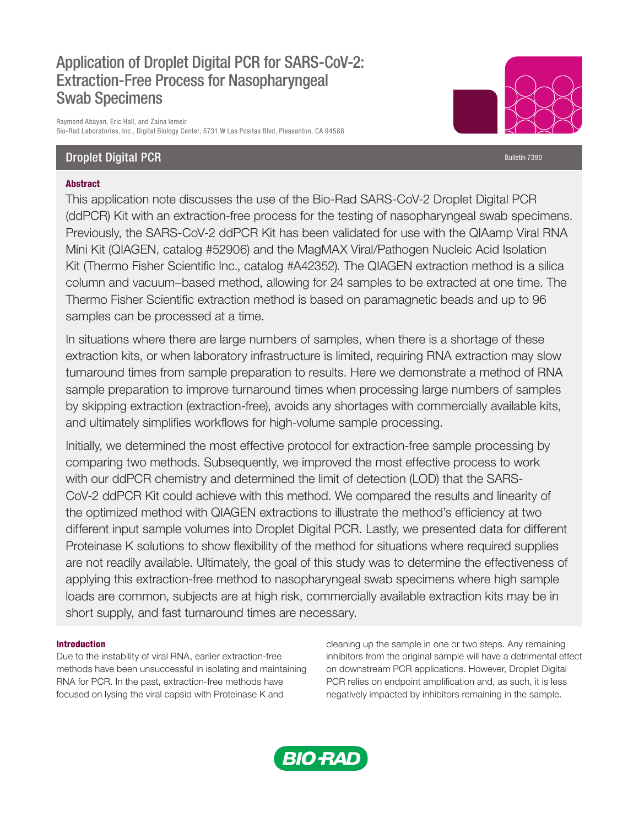# Application of Droplet Digital PCR for SARS-CoV-2: Extraction-Free Process for Nasopharyngeal Swab Specimens

Raymond Abayan, Eric Hall, and Zaina Iemeir Bio-Rad Laboratories, Inc., Digital Biology Center, 5731 W Las Positas Blvd, Pleasanton, CA 94588

## **Droplet Digital PCR** Bulletin 7390

## Abstract

This application note discusses the use of the Bio-Rad SARS-CoV-2 Droplet Digital PCR (ddPCR) Kit with an extraction-free process for the testing of nasopharyngeal swab specimens. Previously, the SARS-CoV-2 ddPCR Kit has been validated for use with the QIAamp Viral RNA Mini Kit (QIAGEN, catalog #52906) and the MagMAX Viral/Pathogen Nucleic Acid Isolation Kit (Thermo Fisher Scientific Inc., catalog #A42352). The QIAGEN extraction method is a silica column and vacuum–based method, allowing for 24 samples to be extracted at one time. The Thermo Fisher Scientific extraction method is based on paramagnetic beads and up to 96 samples can be processed at a time.

In situations where there are large numbers of samples, when there is a shortage of these extraction kits, or when laboratory infrastructure is limited, requiring RNA extraction may slow turnaround times from sample preparation to results. Here we demonstrate a method of RNA sample preparation to improve turnaround times when processing large numbers of samples by skipping extraction (extraction-free), avoids any shortages with commercially available kits, and ultimately simplifies workflows for high-volume sample processing.

Initially, we determined the most effective protocol for extraction-free sample processing by comparing two methods. Subsequently, we improved the most effective process to work with our ddPCR chemistry and determined the limit of detection (LOD) that the SARS-CoV-2 ddPCR Kit could achieve with this method. We compared the results and linearity of the optimized method with QIAGEN extractions to illustrate the method's efficiency at two different input sample volumes into Droplet Digital PCR. Lastly, we presented data for different Proteinase K solutions to show flexibility of the method for situations where required supplies are not readily available. Ultimately, the goal of this study was to determine the effectiveness of applying this extraction-free method to nasopharyngeal swab specimens where high sample loads are common, subjects are at high risk, commercially available extraction kits may be in short supply, and fast turnaround times are necessary.

## Introduction

Due to the instability of viral RNA, earlier extraction-free methods have been unsuccessful in isolating and maintaining RNA for PCR. In the past, extraction-free methods have focused on lysing the viral capsid with Proteinase K and

cleaning up the sample in one or two steps. Any remaining inhibitors from the original sample will have a detrimental effect on downstream PCR applications. However, Droplet Digital PCR relies on endpoint amplification and, as such, it is less negatively impacted by inhibitors remaining in the sample.

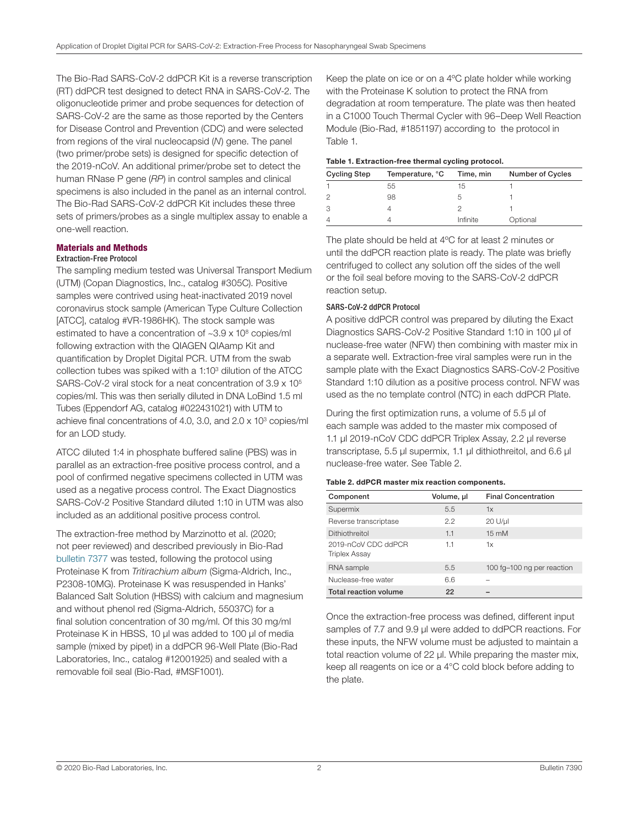The Bio-Rad SARS-CoV-2 ddPCR Kit is a reverse transcription (RT) ddPCR test designed to detect RNA in SARS-CoV-2. The oligonucleotide primer and probe sequences for detection of SARS-CoV-2 are the same as those reported by the Centers for Disease Control and Prevention (CDC) and were selected from regions of the viral nucleocapsid (*N*) gene. The panel (two primer/probe sets) is designed for specific detection of the 2019-nCoV. An additional primer/probe set to detect the human RNase P gene (*RP*) in control samples and clinical specimens is also included in the panel as an internal control. The Bio-Rad SARS-CoV-2 ddPCR Kit includes these three sets of primers/probes as a single multiplex assay to enable a one-well reaction.

## Materials and Methods

## Extraction-Free Protocol

The sampling medium tested was Universal Transport Medium (UTM) (Copan Diagnostics, Inc., catalog #305C). Positive samples were contrived using heat-inactivated 2019 novel coronavirus stock sample (American Type Culture Collection [ATCC], catalog #VR-1986HK). The stock sample was estimated to have a concentration of ~3.9 x 10<sup>8</sup> copies/ml following extraction with the QIAGEN QIAamp Kit and quantification by Droplet Digital PCR. UTM from the swab collection tubes was spiked with a 1:103 dilution of the ATCC SARS-CoV-2 viral stock for a neat concentration of 3.9 x 105 copies/ml. This was then serially diluted in DNA LoBind 1.5 ml Tubes (Eppendorf AG, catalog #022431021) with UTM to achieve final concentrations of 4.0, 3.0, and 2.0 x 103 copies/ml for an LOD study.

ATCC diluted 1:4 in phosphate buffered saline (PBS) was in parallel as an extraction-free positive process control, and a pool of confirmed negative specimens collected in UTM was used as a negative process control. The Exact Diagnostics SARS-CoV-2 Positive Standard diluted 1:10 in UTM was also included as an additional positive process control.

The extraction-free method by Marzinotto et al. (2020; not peer reviewed) and described previously in Bio-Rad [bulletin 7377](https://www.bio-rad.com/webroot/web/pdf/lsr/literature/Bulletin_7377.pdf) was tested, following the protocol using Proteinase K from *Tritirachium album* (Sigma-Aldrich, Inc., P2308-10MG). Proteinase K was resuspended in Hanks' Balanced Salt Solution (HBSS) with calcium and magnesium and without phenol red (Sigma-Aldrich, 55037C) for a final solution concentration of 30 mg/ml. Of this 30 mg/ml Proteinase K in HBSS, 10 ul was added to 100 ul of media sample (mixed by pipet) in a ddPCR 96-Well Plate (Bio-Rad Laboratories, Inc., catalog #12001925) and sealed with a removable foil seal (Bio-Rad, #MSF1001).

Keep the plate on ice or on a 4ºC plate holder while working with the Proteinase K solution to protect the RNA from degradation at room temperature. The plate was then heated in a C1000 Touch Thermal Cycler with 96–Deep Well Reaction Module (Bio-Rad, #1851197) according to the protocol in Table 1.

## Table 1. Extraction-free thermal cycling protocol.

| <b>Cycling Step</b> | Temperature, °C | Time, min | <b>Number of Cycles</b> |  |  |  |
|---------------------|-----------------|-----------|-------------------------|--|--|--|
|                     | 55              | 15        |                         |  |  |  |
|                     | 98              |           |                         |  |  |  |
|                     |                 |           |                         |  |  |  |
|                     |                 | Infinite  | Optional                |  |  |  |

The plate should be held at 4ºC for at least 2 minutes or until the ddPCR reaction plate is ready. The plate was briefly centrifuged to collect any solution off the sides of the well or the foil seal before moving to the SARS-CoV-2 ddPCR reaction setup.

## SARS-CoV-2 ddPCR Protocol

A positive ddPCR control was prepared by diluting the Exact Diagnostics SARS-CoV-2 Positive Standard 1:10 in 100 µl of nuclease-free water (NFW) then combining with master mix in a separate well. Extraction-free viral samples were run in the sample plate with the Exact Diagnostics SARS-CoV-2 Positive Standard 1:10 dilution as a positive process control. NFW was used as the no template control (NTC) in each ddPCR Plate.

During the first optimization runs, a volume of 5.5 µl of each sample was added to the master mix composed of 1.1 µl 2019-nCoV CDC ddPCR Triplex Assay, 2.2 µl reverse transcriptase, 5.5 µl supermix, 1.1 µl dithiothreitol, and 6.6 µl nuclease-free water. See Table 2.

#### Table 2. ddPCR master mix reaction components.

| Component                                   | Volume, ul | <b>Final Concentration</b> |
|---------------------------------------------|------------|----------------------------|
| Supermix                                    | 5.5        | 1x                         |
| Reverse transcriptase                       | 22         | $20 U/\mu$                 |
| <b>Dithiothreitol</b>                       | 1.1        | $15 \text{ mM}$            |
| 2019-nCoV CDC ddPCR<br><b>Triplex Assay</b> | 1.1        | 1x                         |
| RNA sample                                  | 5.5        | 100 fg-100 ng per reaction |
| Nuclease-free water                         | 6.6        |                            |
| Total reaction volume                       | 22         |                            |

Once the extraction-free process was defined, different input samples of 7.7 and 9.9 µl were added to ddPCR reactions. For these inputs, the NFW volume must be adjusted to maintain a total reaction volume of 22 µl. While preparing the master mix, keep all reagents on ice or a 4°C cold block before adding to the plate.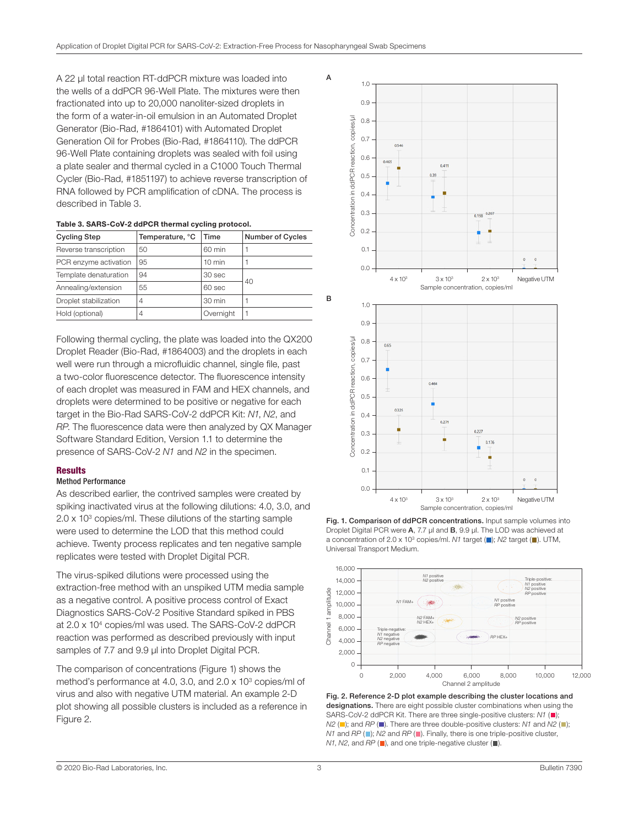A

B

A 22 µl total reaction RT-ddPCR mixture was loaded into the wells of a ddPCR 96-Well Plate. The mixtures were then fractionated into up to 20,000 nanoliter-sized droplets in the form of a water-in-oil emulsion in an Automated Droplet Generator (Bio-Rad, #1864101) with Automated Droplet Generation Oil for Probes (Bio-Rad, #1864110). The ddPCR 96-Well Plate containing droplets was sealed with foil using a plate sealer and thermal cycled in a C1000 Touch Thermal Cycler (Bio-Rad, #1851197) to achieve reverse transcription of RNA followed by PCR amplification of cDNA. The process is described in Table 3.

| Table 3. SARS-CoV-2 ddPCR thermal cycling protocol. |  |  |
|-----------------------------------------------------|--|--|
|                                                     |  |  |

| <b>Cycling Step</b>   | Temperature, °C | Time              | <b>Number of Cycles</b> |  |
|-----------------------|-----------------|-------------------|-------------------------|--|
| Reverse transcription | 50              | 60 min            |                         |  |
| PCR enzyme activation | 95              | $10 \text{ min}$  |                         |  |
| Template denaturation | 94              | 30 <sub>sec</sub> |                         |  |
| Annealing/extension   | 55              | $60$ sec          | 40                      |  |
| Droplet stabilization | $\overline{4}$  | $30 \text{ min}$  |                         |  |
| Hold (optional)       | 4               | Overnight         |                         |  |

Following thermal cycling, the plate was loaded into the QX200 Droplet Reader (Bio-Rad, #1864003) and the droplets in each well were run through a microfluidic channel, single file, past a two-color fluorescence detector. The fluorescence intensity of each droplet was measured in FAM and HEX channels, and droplets were determined to be positive or negative for each target in the Bio-Rad SARS-CoV-2 ddPCR Kit: *N1*, *N2*, and *RP*. The fluorescence data were then analyzed by QX Manager Software Standard Edition, Version 1.1 to determine the presence of SARS-CoV-2 *N1* and *N2* in the specimen.

## **Results**

## Method Performance

As described earlier, the contrived samples were created by spiking inactivated virus at the following dilutions: 4.0, 3.0, and 2.0 x 103 copies/ml. These dilutions of the starting sample were used to determine the LOD that this method could achieve. Twenty process replicates and ten negative sample replicates were tested with Droplet Digital PCR.

The virus-spiked dilutions were processed using the extraction-free method with an unspiked UTM media sample as a negative control. A positive process control of Exact Diagnostics SARS-CoV-2 Positive Standard spiked in PBS at 2.0 x 104 copies/ml was used. The SARS-CoV-2 ddPCR reaction was performed as described previously with input samples of 7.7 and 9.9 µl into Droplet Digital PCR.

The comparison of concentrations (Figure 1) shows the method's performance at 4.0, 3.0, and 2.0 x 103 copies/ml of virus and also with negative UTM material. An example 2-D plot showing all possible clusters is included as a reference in Figure 2.







Fig. 2. Reference 2-D plot example describing the cluster locations and designations. There are eight possible cluster combinations when using the SARS-CoV-2 ddPCR Kit. There are three single-positive clusters: *N1* ( $\blacksquare$ );  $N2$  ( $\Box$ ); and *RP* ( $\Box$ ). There are three double-positive clusters: *N1* and *N2* ( $\Box$ ); *N1* and *RP* (**iii**); *N2* and *RP* (**iii**). Finally, there is one triple-positive cluster, *N1*, *N2*, and *RP* (■), and one triple-negative cluster (■).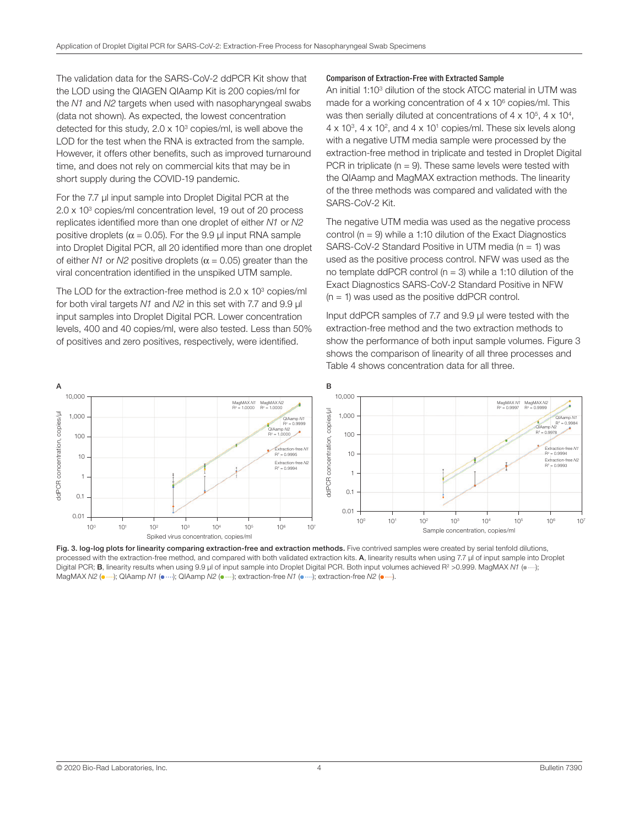The validation data for the SARS-CoV-2 ddPCR Kit show that the LOD using the QIAGEN QIAamp Kit is 200 copies/ml for the *N1* and *N2* targets when used with nasopharyngeal swabs (data not shown). As expected, the lowest concentration detected for this study,  $2.0 \times 10^3$  copies/ml, is well above the LOD for the test when the RNA is extracted from the sample. However, it offers other benefits, such as improved turnaround time, and does not rely on commercial kits that may be in short supply during the COVID-19 pandemic.

For the 7.7 µl input sample into Droplet Digital PCR at the 2.0 x 103 copies/ml concentration level, 19 out of 20 process replicates identified more than one droplet of either *N1* or *N2* positive droplets ( $\alpha$  = 0.05). For the 9.9 µl input RNA sample into Droplet Digital PCR, all 20 identified more than one droplet of either *N1* or *N2* positive droplets ( $\alpha$  = 0.05) greater than the viral concentration identified in the unspiked UTM sample.

The LOD for the extraction-free method is 2.0 x 10<sup>3</sup> copies/ml for both viral targets *N1* and *N2* in this set with 7.7 and 9.9 µl input samples into Droplet Digital PCR. Lower concentration levels, 400 and 40 copies/ml, were also tested. Less than 50% of positives and zero positives, respectively, were identified.

#### Comparison of Extraction-Free with Extracted Sample

An initial 1:103 dilution of the stock ATCC material in UTM was made for a working concentration of  $4 \times 10^6$  copies/ml. This was then serially diluted at concentrations of  $4 \times 10^5$ ,  $4 \times 10^4$ ,  $4 \times 10^3$ ,  $4 \times 10^2$ , and  $4 \times 10^1$  copies/ml. These six levels along with a negative UTM media sample were processed by the extraction-free method in triplicate and tested in Droplet Digital PCR in triplicate ( $n = 9$ ). These same levels were tested with the QIAamp and MagMAX extraction methods. The linearity of the three methods was compared and validated with the SARS-CoV-2 Kit.

The negative UTM media was used as the negative process control ( $n = 9$ ) while a 1:10 dilution of the Exact Diagnostics SARS-CoV-2 Standard Positive in UTM media ( $n = 1$ ) was used as the positive process control. NFW was used as the no template ddPCR control ( $n = 3$ ) while a 1:10 dilution of the Exact Diagnostics SARS-CoV-2 Standard Positive in NFW  $(n = 1)$  was used as the positive ddPCR control.

Input ddPCR samples of 7.7 and 9.9 µl were tested with the extraction-free method and the two extraction methods to show the performance of both input sample volumes. Figure 3 shows the comparison of linearity of all three processes and Table 4 shows concentration data for all three.



Fig. 3. log-log plots for linearity comparing extraction-free and extraction methods. Five contrived samples were created by serial tenfold dilutions, processed with the extraction-free method, and compared with both validated extraction kits. A, linearity results when using 7.7 µl of input sample into Droplet Digital PCR; B, linearity results when using 9.9 µl of input sample into Droplet Digital PCR. Both input volumes achieved R<sup>2</sup> >0.999. MagMAX *N1* ( $\bullet$  ···); MagMAX  $N2$  ( $\cdots$ ); QIAamp  $N1$  ( $\cdots$ ); QIAamp  $N2$  ( $\cdots$ ); extraction-free  $N1$  ( $\cdots$ ); extraction-free  $N2$  ( $\cdots$ ).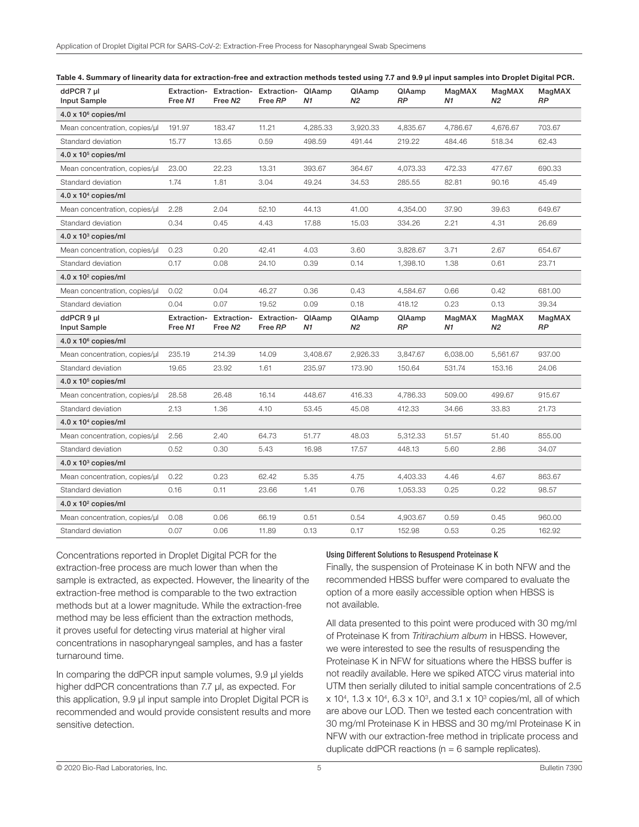| ddPCR 7 µl<br>Input Sample    | Extraction-<br>Free N1        | <b>Extraction-</b><br>Free N <sub>2</sub> | Extraction-<br>Free RP               | QIAamp<br>N1 | QIAamp<br>N2 | QIAamp<br><b>RP</b> | MagMAX<br>N1 | MagMAX<br>N2 | MagMAX<br><b>RP</b> |
|-------------------------------|-------------------------------|-------------------------------------------|--------------------------------------|--------------|--------------|---------------------|--------------|--------------|---------------------|
| $4.0 \times 10^6$ copies/ml   |                               |                                           |                                      |              |              |                     |              |              |                     |
| Mean concentration, copies/ul | 191.97                        | 183.47                                    | 11.21                                | 4,285.33     | 3,920.33     | 4,835.67            | 4,786.67     | 4,676.67     | 703.67              |
| Standard deviation            | 15.77                         | 13.65                                     | 0.59                                 | 498.59       | 491.44       | 219.22              | 484.46       | 518.34       | 62.43               |
| $4.0 \times 10^5$ copies/ml   |                               |                                           |                                      |              |              |                     |              |              |                     |
| Mean concentration, copies/µl | 23.00                         | 22.23                                     | 13.31                                | 393.67       | 364.67       | 4,073.33            | 472.33       | 477.67       | 690.33              |
| Standard deviation            | 1.74                          | 1.81                                      | 3.04                                 | 49.24        | 34.53        | 285.55              | 82.81        | 90.16        | 45.49               |
| $4.0 \times 10^4$ copies/ml   |                               |                                           |                                      |              |              |                     |              |              |                     |
| Mean concentration, copies/µl | 2.28                          | 2.04                                      | 52.10                                | 44.13        | 41.00        | 4,354.00            | 37.90        | 39.63        | 649.67              |
| Standard deviation            | 0.34                          | 0.45                                      | 4.43                                 | 17.88        | 15.03        | 334.26              | 2.21         | 4.31         | 26.69               |
| $4.0 \times 10^3$ copies/ml   |                               |                                           |                                      |              |              |                     |              |              |                     |
| Mean concentration, copies/ul | 0.23                          | 0.20                                      | 42.41                                | 4.03         | 3.60         | 3,828.67            | 3.71         | 2.67         | 654.67              |
| Standard deviation            | 0.17                          | 0.08                                      | 24.10                                | 0.39         | 0.14         | 1,398.10            | 1.38         | 0.61         | 23.71               |
| $4.0 \times 10^2$ copies/ml   |                               |                                           |                                      |              |              |                     |              |              |                     |
| Mean concentration, copies/µl | 0.02                          | 0.04                                      | 46.27                                | 0.36         | 0.43         | 4,584.67            | 0.66         | 0.42         | 681.00              |
| Standard deviation            | 0.04                          | 0.07                                      | 19.52                                | 0.09         | 0.18         | 418.12              | 0.23         | 0.13         | 39.34               |
| ddPCR 9 ul<br>Input Sample    | <b>Extraction-</b><br>Free N1 | Extraction-<br>Free N <sub>2</sub>        | <b>Extraction- QIAamp</b><br>Free RP | N1           | QIAamp<br>Ν2 | QIAamp<br><b>RP</b> | MagMAX<br>Ν1 | MagMAX<br>N2 | MagMAX<br><b>RP</b> |
| $4.0 \times 10^6$ copies/ml   |                               |                                           |                                      |              |              |                     |              |              |                     |
| Mean concentration, copies/ul | 235.19                        | 214.39                                    | 14.09                                | 3,408.67     | 2,926.33     | 3,847.67            | 6,038.00     | 5,561.67     | 937.00              |
| Standard deviation            | 19.65                         | 23.92                                     | 1.61                                 | 235.97       | 173.90       | 150.64              | 531.74       | 153.16       | 24.06               |
| $4.0 \times 10^5$ copies/ml   |                               |                                           |                                      |              |              |                     |              |              |                     |
| Mean concentration, copies/µl | 28.58                         | 26.48                                     | 16.14                                | 448.67       | 416.33       | 4,786.33            | 509.00       | 499.67       | 915.67              |
| Standard deviation            | 2.13                          | 1.36                                      | 4.10                                 | 53.45        | 45.08        | 412.33              | 34.66        | 33.83        | 21.73               |
| $4.0 \times 104$ copies/ml    |                               |                                           |                                      |              |              |                     |              |              |                     |
| Mean concentration, copies/µl | 2.56                          | 2.40                                      | 64.73                                | 51.77        | 48.03        | 5,312.33            | 51.57        | 51.40        | 855.00              |
| Standard deviation            | 0.52                          | 0.30                                      | 5.43                                 | 16.98        | 17.57        | 448.13              | 5.60         | 2.86         | 34.07               |
| $4.0 \times 10^3$ copies/ml   |                               |                                           |                                      |              |              |                     |              |              |                     |
| Mean concentration, copies/ul | 0.22                          | 0.23                                      | 62.42                                | 5.35         | 4.75         | 4,403.33            | 4.46         | 4.67         | 863.67              |
| Standard deviation            | 0.16                          | 0.11                                      | 23.66                                | 1.41         | 0.76         | 1,053.33            | 0.25         | 0.22         | 98.57               |
| $4.0 \times 10^2$ copies/ml   |                               |                                           |                                      |              |              |                     |              |              |                     |
| Mean concentration, copies/µl | 0.08                          | 0.06                                      | 66.19                                | 0.51         | 0.54         | 4,903.67            | 0.59         | 0.45         | 960.00              |
| Standard deviation            | 0.07                          | 0.06                                      | 11.89                                | 0.13         | 0.17         | 152.98              | 0.53         | 0.25         | 162.92              |

|  | Table 4. Summary of linearity data for extraction-free and extraction methods tested using 7.7 and 9.9 µl input samples into Droplet Digital PCR. |  |  |
|--|---------------------------------------------------------------------------------------------------------------------------------------------------|--|--|
|--|---------------------------------------------------------------------------------------------------------------------------------------------------|--|--|

Concentrations reported in Droplet Digital PCR for the extraction-free process are much lower than when the sample is extracted, as expected. However, the linearity of the extraction-free method is comparable to the two extraction methods but at a lower magnitude. While the extraction-free method may be less efficient than the extraction methods, it proves useful for detecting virus material at higher viral concentrations in nasopharyngeal samples, and has a faster turnaround time.

In comparing the ddPCR input sample volumes, 9.9 µl yields higher ddPCR concentrations than 7.7 µl, as expected. For this application, 9.9 µl input sample into Droplet Digital PCR is recommended and would provide consistent results and more sensitive detection.

#### Using Different Solutions to Resuspend Proteinase K

Finally, the suspension of Proteinase K in both NFW and the recommended HBSS buffer were compared to evaluate the option of a more easily accessible option when HBSS is not available.

All data presented to this point were produced with 30 mg/ml of Proteinase K from *Tritirachium album* in HBSS. However, we were interested to see the results of resuspending the Proteinase K in NFW for situations where the HBSS buffer is not readily available. Here we spiked ATCC virus material into UTM then serially diluted to initial sample concentrations of 2.5  $x$  10<sup>4</sup>, 1.3 x 10<sup>4</sup>, 6.3 x 10<sup>3</sup>, and 3.1 x 10<sup>3</sup> copies/ml, all of which are above our LOD. Then we tested each concentration with 30 mg/ml Proteinase K in HBSS and 30 mg/ml Proteinase K in NFW with our extraction-free method in triplicate process and duplicate ddPCR reactions ( $n = 6$  sample replicates).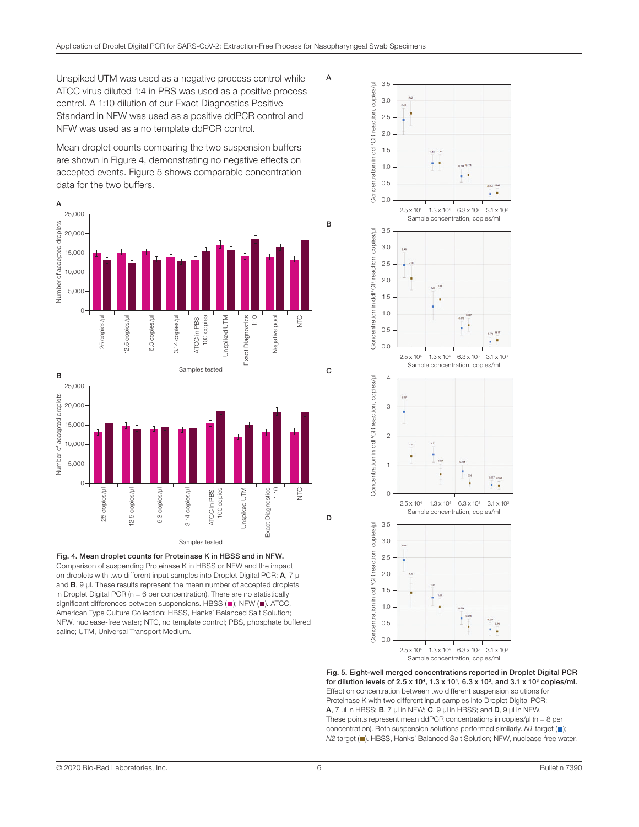A

Unspiked UTM was used as a negative process control while ATCC virus diluted 1:4 in PBS was used as a positive process control. A 1:10 dilution of our Exact Diagnostics Positive Standard in NFW was used as a positive ddPCR control and NFW was used as a no template ddPCR control.

Mean droplet counts comparing the two suspension buffers are shown in Figure 4, demonstrating no negative effects on accepted events. Figure 5 shows comparable concentration data for the two buffers.





Fig. 4. Mean droplet counts for Proteinase K in HBSS and in NFW. Comparison of suspending Proteinase K in HBSS or NFW and the impact on droplets with two different input samples into Droplet Digital PCR: A, 7 µl and **B**, 9 µl. These results represent the mean number of accepted droplets in Droplet Digital PCR ( $n = 6$  per concentration). There are no statistically significant differences between suspensions. HBSS ( $\blacksquare$ ); NFW ( $\blacksquare$ ). ATCC, American Type Culture Collection; HBSS, Hanks' Balanced Salt Solution; NFW, nuclease-free water; NTC, no template control; PBS, phosphate buffered saline; UTM, Universal Transport Medium.



Fig. 5. Eight-well merged concentrations reported in Droplet Digital PCR for dilution levels of 2.5 x 10<sup>4</sup>, 1.3 x 10<sup>4</sup>, 6.3 x 10<sup>3</sup>, and 3.1 x 10<sup>3</sup> copies/ml. Effect on concentration between two different suspension solutions for Proteinase K with two different input samples into Droplet Digital PCR:  $A$ , 7  $\mu$ l in HBSS; **B**, 7  $\mu$ l in NFW; **C**, 9  $\mu$ l in HBSS; and **D**, 9  $\mu$ l in NFW. These points represent mean ddPCR concentrations in copies/ $\mu$ l (n = 8 per concentration). Both suspension solutions performed similarly. *N1* target ( $\blacksquare$ ); *N2* target ( $\blacksquare$ ). HBSS, Hanks' Balanced Salt Solution; NFW, nuclease-free water.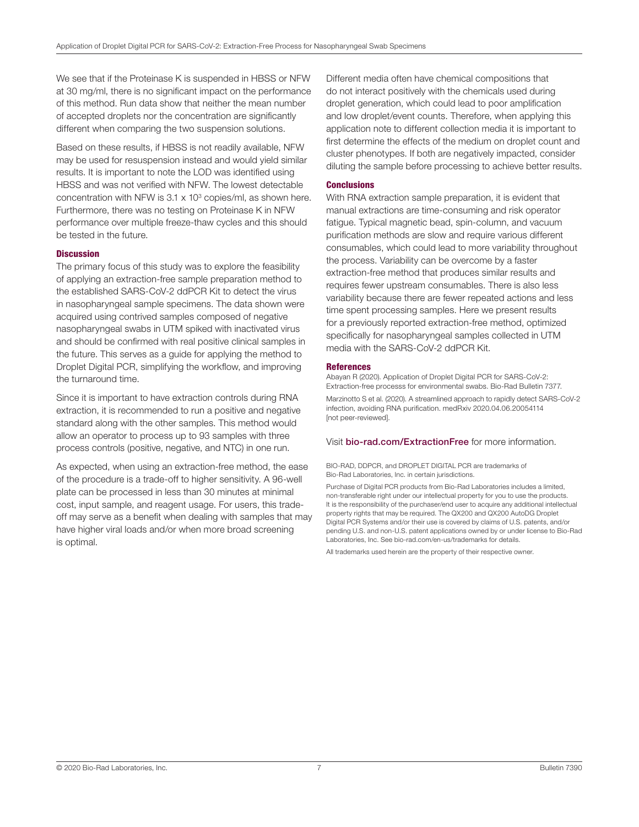We see that if the Proteinase K is suspended in HBSS or NFW at 30 mg/ml, there is no significant impact on the performance of this method. Run data show that neither the mean number of accepted droplets nor the concentration are significantly different when comparing the two suspension solutions.

Based on these results, if HBSS is not readily available, NFW may be used for resuspension instead and would yield similar results. It is important to note the LOD was identified using HBSS and was not verified with NFW. The lowest detectable concentration with NFW is  $3.1 \times 10^3$  copies/ml, as shown here. Furthermore, there was no testing on Proteinase K in NFW performance over multiple freeze-thaw cycles and this should be tested in the future.

#### **Discussion**

The primary focus of this study was to explore the feasibility of applying an extraction-free sample preparation method to the established SARS-CoV-2 ddPCR Kit to detect the virus in nasopharyngeal sample specimens. The data shown were acquired using contrived samples composed of negative nasopharyngeal swabs in UTM spiked with inactivated virus and should be confirmed with real positive clinical samples in the future. This serves as a guide for applying the method to Droplet Digital PCR, simplifying the workflow, and improving the turnaround time.

Since it is important to have extraction controls during RNA extraction, it is recommended to run a positive and negative standard along with the other samples. This method would allow an operator to process up to 93 samples with three process controls (positive, negative, and NTC) in one run.

As expected, when using an extraction-free method, the ease of the procedure is a trade-off to higher sensitivity. A 96-well plate can be processed in less than 30 minutes at minimal cost, input sample, and reagent usage. For users, this tradeoff may serve as a benefit when dealing with samples that may have higher viral loads and/or when more broad screening is optimal.

Different media often have chemical compositions that do not interact positively with the chemicals used during droplet generation, which could lead to poor amplification and low droplet/event counts. Therefore, when applying this application note to different collection media it is important to first determine the effects of the medium on droplet count and cluster phenotypes. If both are negatively impacted, consider diluting the sample before processing to achieve better results.

### **Conclusions**

With RNA extraction sample preparation, it is evident that manual extractions are time-consuming and risk operator fatigue. Typical magnetic bead, spin-column, and vacuum purification methods are slow and require various different consumables, which could lead to more variability throughout the process. Variability can be overcome by a faster extraction-free method that produces similar results and requires fewer upstream consumables. There is also less variability because there are fewer repeated actions and less time spent processing samples. Here we present results for a previously reported extraction-free method, optimized specifically for nasopharyngeal samples collected in UTM media with the SARS-CoV-2 ddPCR Kit.

#### **References**

Abayan R (2020). Application of Droplet Digital PCR for SARS-CoV-2: Extraction-free processs for environmental swabs. Bio-Rad Bulletin 7377. Marzinotto S et al. (2020). A streamlined approach to rapidly detect SARS-CoV-2 infection, avoiding RNA purification. medRxiv 2020.04.06.20054114 [not peer-reviewed].

## Visit [bio-rad.com/ExtractionFree](http://www.bio-rad.com/ExtractionFree) for more information.

#### BIO-RAD, DDPCR, and DROPLET DIGITAL PCR are trademarks of Bio-Rad Laboratories, Inc. in certain jurisdictions.

Purchase of Digital PCR products from Bio-Rad Laboratories includes a limited, non-transferable right under our intellectual property for you to use the products. It is the responsibility of the purchaser/end user to acquire any additional intellectual property rights that may be required. The QX200 and QX200 AutoDG Droplet Digital PCR Systems and/or their use is covered by claims of U.S. patents, and/or pending U.S. and non-U.S. patent applications owned by or under license to Bio-Rad Laboratories, Inc. See bio-rad.com/en-us/trademarks for details.

All trademarks used herein are the property of their respective owner.